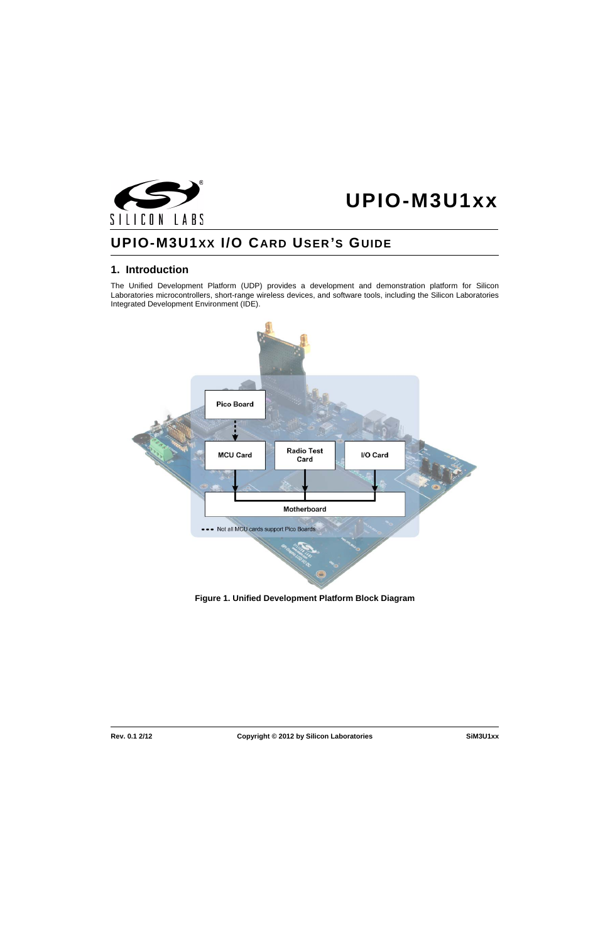



# **UPIO-M3U1XX I/O CARD USER 'S GUIDE**

### **1. Introduction**

The Unified Development Platform (UDP) provides a development and demonstration platform for Silicon Laboratories microcontrollers, short-range wireless devices, and software tools, including the Silicon Laboratories Integrated Development Environment (IDE).



**Figure 1. Unified Development Platform Block Diagram**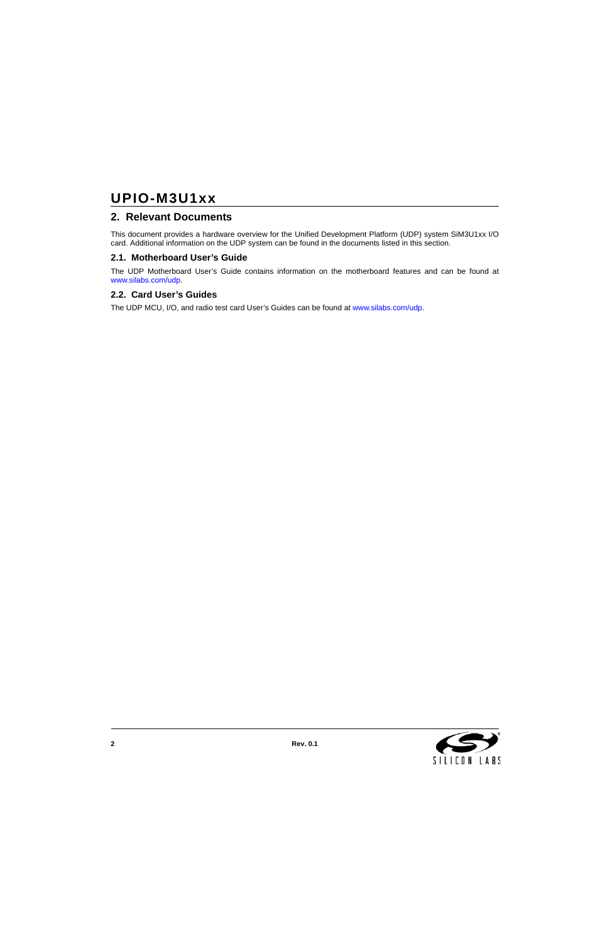# **UPIO-M3U1xx**

### **2. Relevant Documents**

This document provides a hardware overview for the Unified Development Platform (UDP) system SiM3U1xx I/O card. Additional information on the UDP system can be found in the documents listed in this section.

### **2.1. Motherboard User's Guide**

The UDP Motherboard User's Guide contains information on the motherboard features and can be found at [www.silabs.com/udp](http://www.silabs.com/udp).

### **2.2. Card User's Guides**

The UDP MCU, I/O, and radio test card User's Guides can be found at [www.silabs.com/udp](http://www.silabs.com/udp).

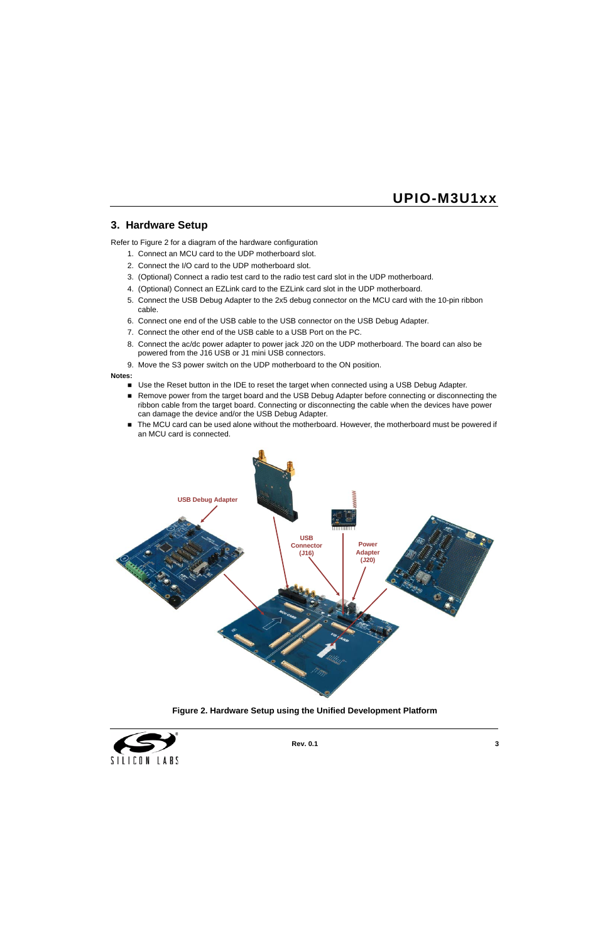### **3. Hardware Setup**

Refer to [Figure 2](#page-2-0) for a diagram of the hardware configuration

- 1. Connect an MCU card to the UDP motherboard slot.
- 2. Connect the I/O card to the UDP motherboard slot.
- 3. (Optional) Connect a radio test card to the radio test card slot in the UDP motherboard.
- 4. (Optional) Connect an EZLink card to the EZLink card slot in the UDP motherboard.
- 5. Connect the USB Debug Adapter to the 2x5 debug connector on the MCU card with the 10-pin ribbon cable.
- 6. Connect one end of the USB cable to the USB connector on the USB Debug Adapter.
- 7. Connect the other end of the USB cable to a USB Port on the PC.
- 8. Connect the ac/dc power adapter to power jack J20 on the UDP motherboard. The board can also be powered from the J16 USB or J1 mini USB connectors.
- 9. Move the S3 power switch on the UDP motherboard to the ON position.

#### **Notes:**

- Use the Reset button in the IDE to reset the target when connected using a USB Debug Adapter.
- Remove power from the target board and the USB Debug Adapter before connecting or disconnecting the ribbon cable from the target board. Connecting or disconnecting the cable when the devices have power can damage the device and/or the USB Debug Adapter.
- The MCU card can be used alone without the motherboard. However, the motherboard must be powered if an MCU card is connected.



**Figure 2. Hardware Setup using the Unified Development Platform**

<span id="page-2-0"></span>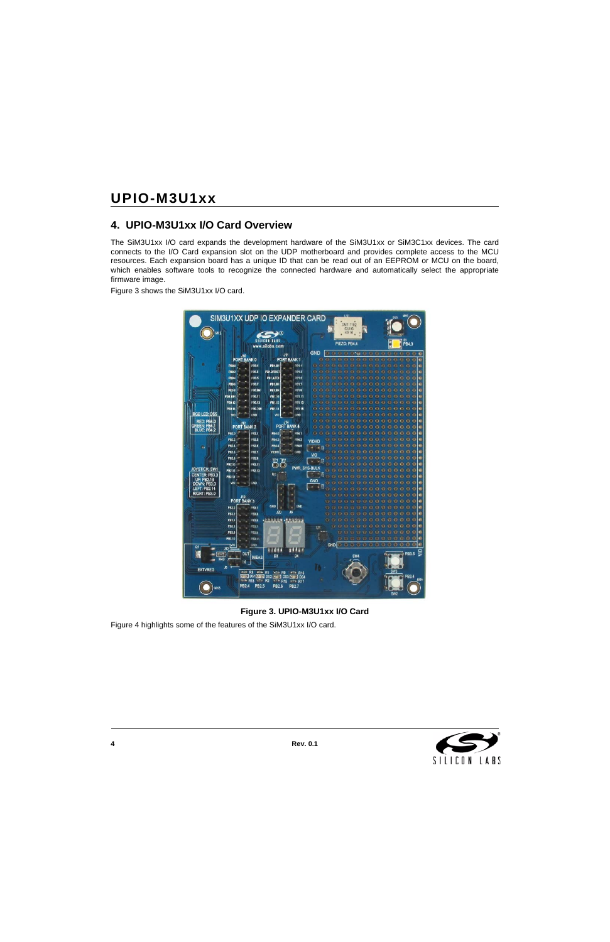### **4. UPIO-M3U1xx I/O Card Overview**

The SiM3U1xx I/O card expands the development hardware of the SiM3U1xx or SiM3C1xx devices. The card connects to the I/O Card expansion slot on the UDP motherboard and provides complete access to the MCU resources. Each expansion board has a unique ID that can be read out of an EEPROM or MCU on the board, which enables software tools to recognize the connected hardware and automatically select the appropriate firmware image.

[Figure 3](#page-3-0) shows the SiM3U1xx I/O card.



**Figure 3. UPIO-M3U1xx I/O Card**

<span id="page-3-0"></span>[Figure 4](#page-4-0) highlights some of the features of the SiM3U1xx I/O card.

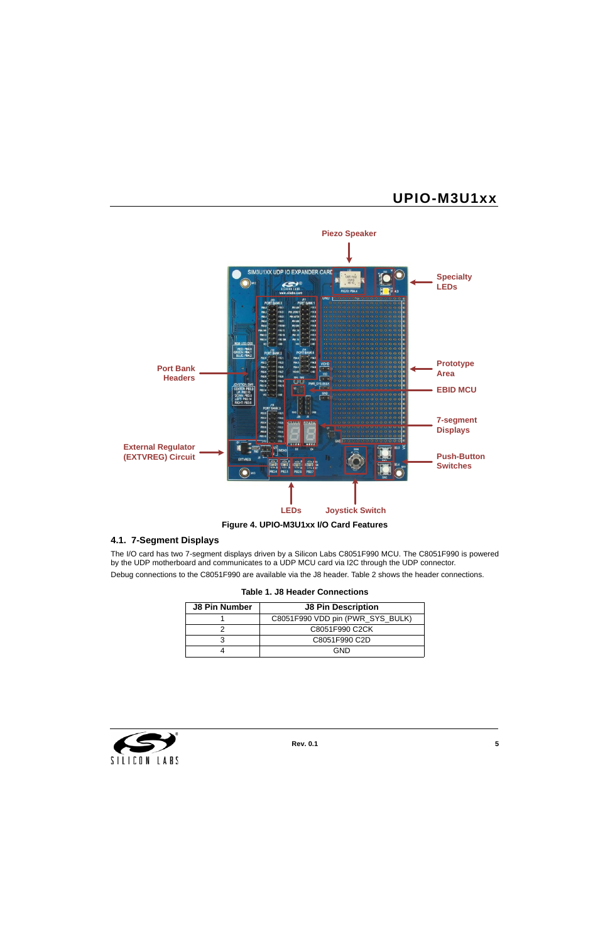

### <span id="page-4-0"></span>**4.1. 7-Segment Displays**

The I/O card has two 7-segment displays driven by a Silicon Labs C8051F990 MCU. The C8051F990 is powered by the UDP motherboard and communicates to a UDP MCU card via I2C through the UDP connector.

Debug connections to the C8051F990 are available via the J8 header. [Table 2](#page-5-0) shows the header connections.

| Table 1. J8 Header Connections |
|--------------------------------|
|--------------------------------|

| <b>J8 Pin Number</b> | <b>J8 Pin Description</b>        |
|----------------------|----------------------------------|
|                      | C8051F990 VDD pin (PWR_SYS_BULK) |
|                      | C8051F990 C2CK                   |
|                      | C8051F990 C2D                    |
|                      | GND                              |

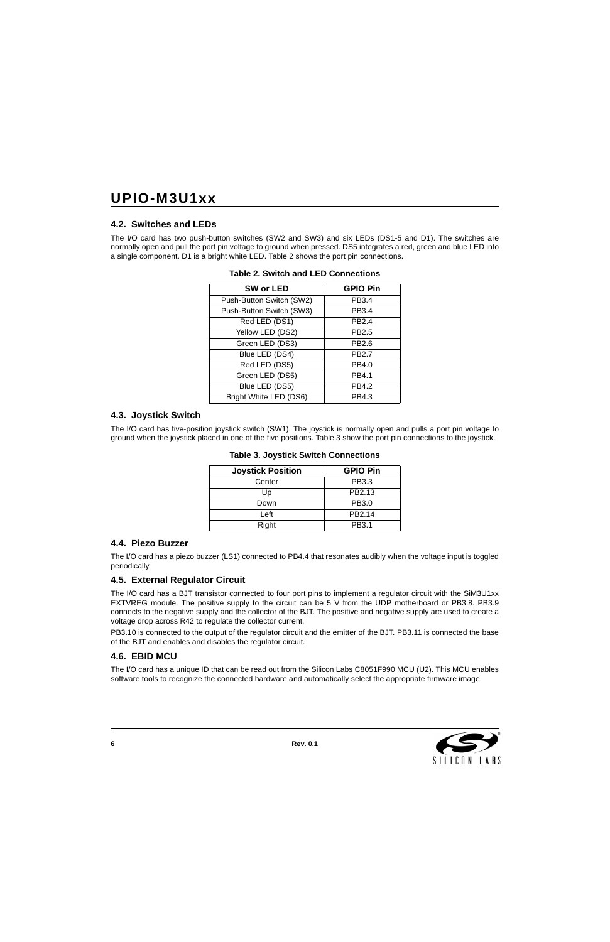### **4.2. Switches and LEDs**

<span id="page-5-0"></span>The I/O card has two push-button switches (SW2 and SW3) and six LEDs (DS1-5 and D1). The switches are normally open and pull the port pin voltage to ground when pressed. DS5 integrates a red, green and blue LED into a single component. D1 is a bright white LED. [Table 2](#page-5-0) shows the port pin connections.

| SW or LED                | <b>GPIO Pin</b>   |
|--------------------------|-------------------|
| Push-Button Switch (SW2) | PB3.4             |
| Push-Button Switch (SW3) | PB3.4             |
| Red LED (DS1)            | PB <sub>2.4</sub> |
| Yellow LED (DS2)         | PB2.5             |
| Green LED (DS3)          | PB2.6             |
| Blue LED (DS4)           | PB2.7             |
| Red LED (DS5)            | PB4.0             |
| Green LED (DS5)          | PB4.1             |
| Blue LED (DS5)           | PB4.2             |
| Bright White LED (DS6)   | PB4.3             |

#### **Table 2. Switch and LED Connections**

### **4.3. Joystick Switch**

<span id="page-5-1"></span>The I/O card has five-position joystick switch (SW1). The joystick is normally open and pulls a port pin voltage to ground when the joystick placed in one of the five positions. [Table 3](#page-5-1) show the port pin connections to the joystick.

| <b>Joystick Position</b> | <b>GPIO Pin</b>    |
|--------------------------|--------------------|
| Center                   | PB3.3              |
| Up                       | PB2.13             |
| Down                     | PB3.0              |
| Left                     | PB <sub>2.14</sub> |
| Right                    | PB3.1              |

#### **Table 3. Joystick Switch Connections**

### **4.4. Piezo Buzzer**

The I/O card has a piezo buzzer (LS1) connected to PB4.4 that resonates audibly when the voltage input is toggled periodically.

### **4.5. External Regulator Circuit**

The I/O card has a BJT transistor connected to four port pins to implement a regulator circuit with the SiM3U1xx EXTVREG module. The positive supply to the circuit can be 5 V from the UDP motherboard or PB3.8. PB3.9 connects to the negative supply and the collector of the BJT. The positive and negative supply are used to create a voltage drop across R42 to regulate the collector current.

PB3.10 is connected to the output of the regulator circuit and the emitter of the BJT. PB3.11 is connected the base of the BJT and enables and disables the regulator circuit.

### **4.6. EBID MCU**

The I/O card has a unique ID that can be read out from the Silicon Labs C8051F990 MCU (U2). This MCU enables software tools to recognize the connected hardware and automatically select the appropriate firmware image.

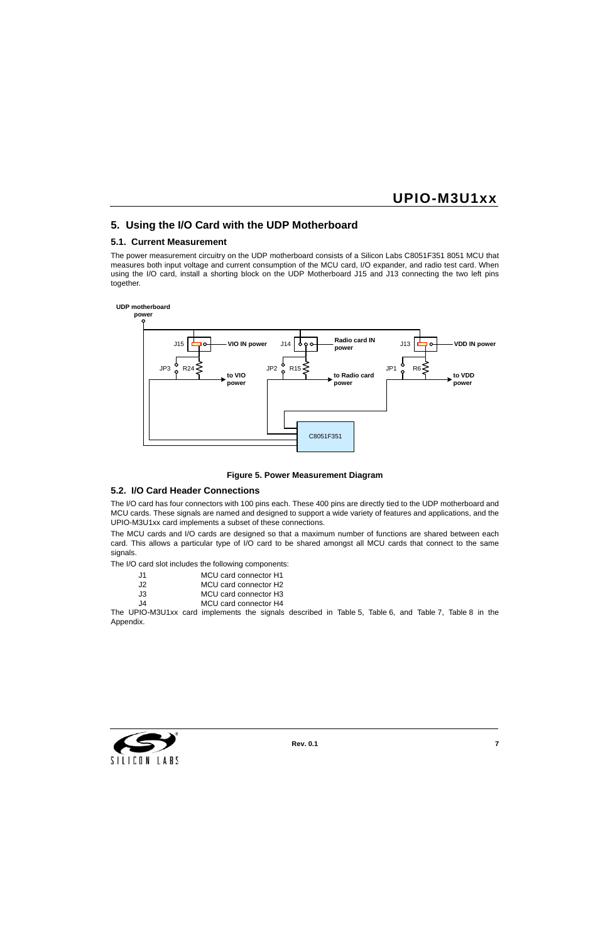### **5. Using the I/O Card with the UDP Motherboard**

### **5.1. Current Measurement**

The power measurement circuitry on the UDP motherboard consists of a Silicon Labs C8051F351 8051 MCU that measures both input voltage and current consumption of the MCU card, I/O expander, and radio test card. When using the I/O card, install a shorting block on the UDP Motherboard J15 and J13 connecting the two left pins together.



#### **Figure 5. Power Measurement Diagram**

#### **5.2. I/O Card Header Connections**

The I/O card has four connectors with 100 pins each. These 400 pins are directly tied to the UDP motherboard and MCU cards. These signals are named and designed to support a wide variety of features and applications, and the UPIO-M3U1xx card implements a subset of these connections.

The MCU cards and I/O cards are designed so that a maximum number of functions are shared between each card. This allows a particular type of I/O card to be shared amongst all MCU cards that connect to the same signals.

The I/O card slot includes the following components:

- J1 MCU card connector H1
- J2 MCU card connector H2
- J3 MCU card connector H3
- J4 MCU card connector H4

The UPIO-M3U1xx card implements the signals described in [Table 5](#page-14-0), [Table 6,](#page-17-0) and [Table 7](#page-20-0), [Table 8](#page-23-0) in the Appendix.

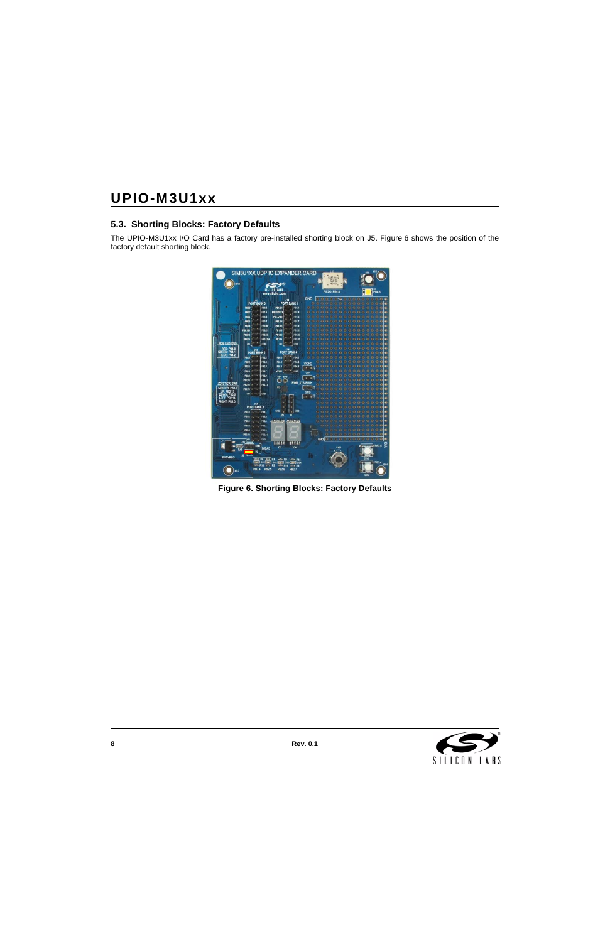### **5.3. Shorting Blocks: Factory Defaults**

The UPIO-M3U1xx I/O Card has a factory pre-installed shorting block on J5. [Figure 6](#page-7-0) shows the position of the factory default shorting block.

<span id="page-7-0"></span>

**Figure 6. Shorting Blocks: Factory Defaults**

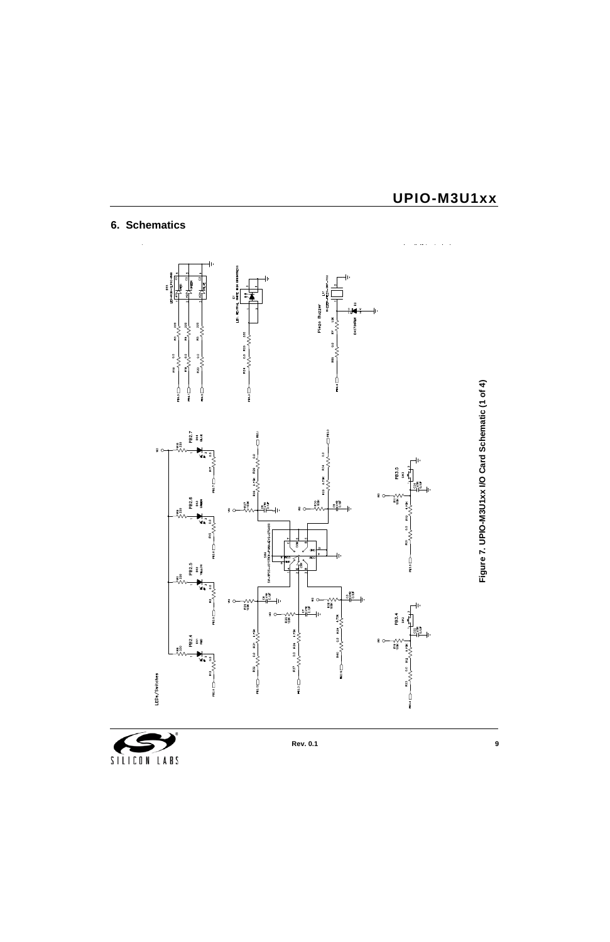# **6. Schematics**



Figure 7. UPIO-M3U1xx I/O Card Schematic (1 of 4) **Figure 7. UPIO-M3U1xx I/O Card Schematic (1 of 4)**

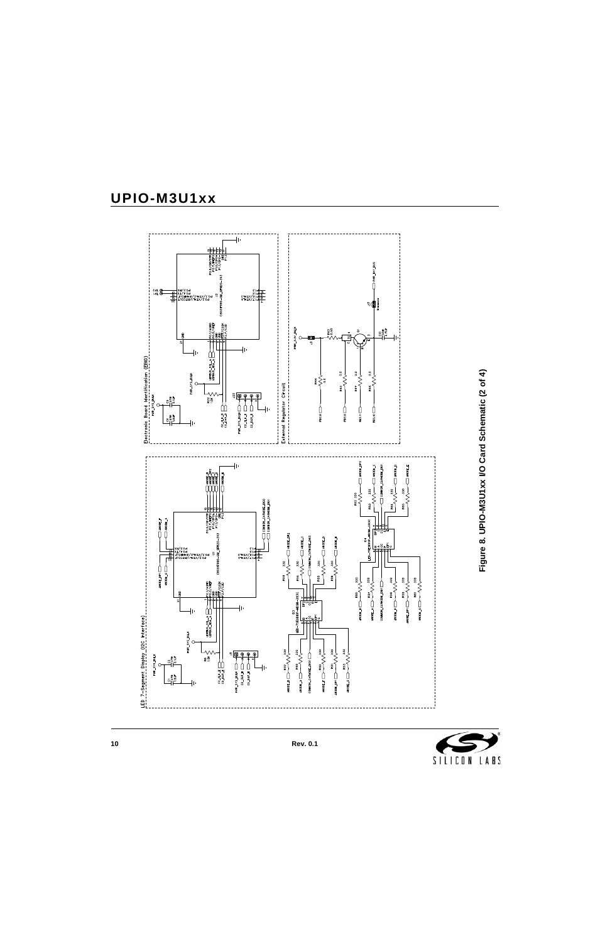

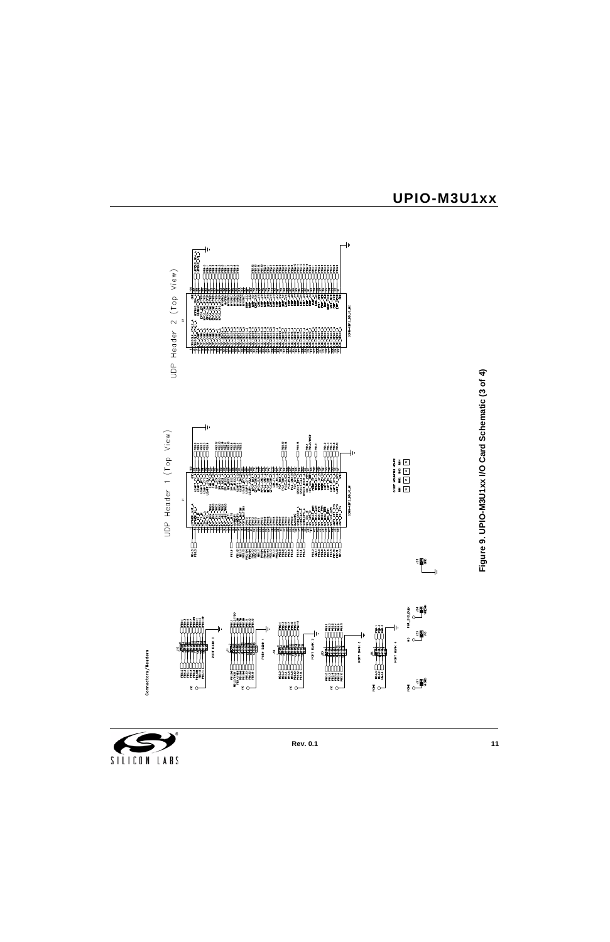

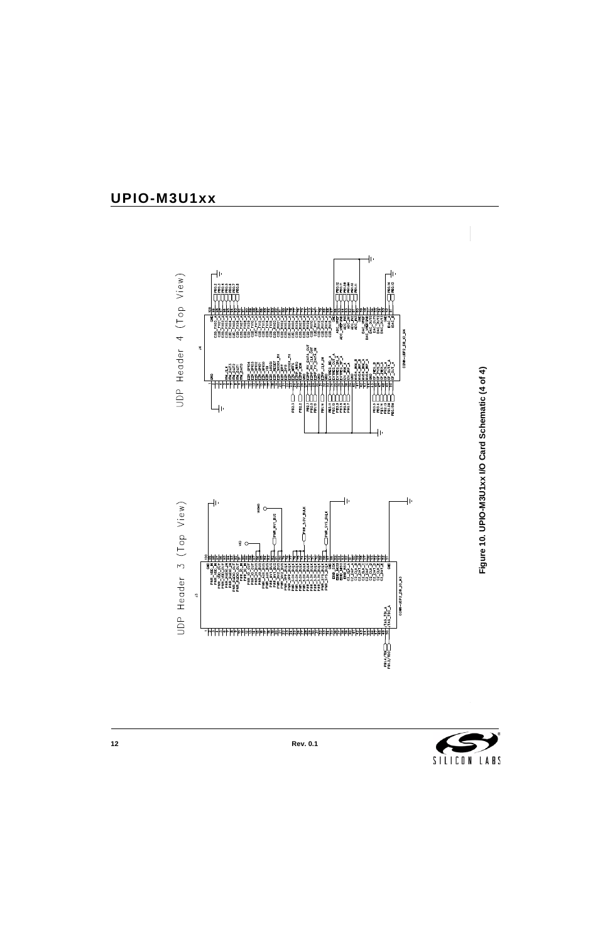

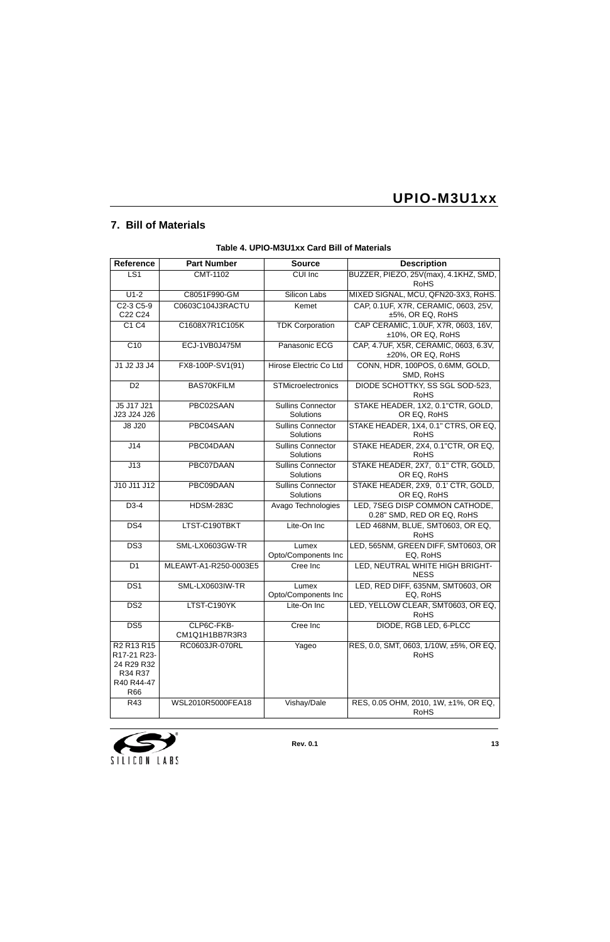## **7. Bill of Materials**

| Reference                                                               | <b>Part Number</b>           | <b>Source</b>                         | <b>Description</b>                                           |
|-------------------------------------------------------------------------|------------------------------|---------------------------------------|--------------------------------------------------------------|
| LS <sub>1</sub>                                                         | CMT-1102                     | <b>CUI Inc</b>                        | BUZZER, PIEZO, 25V(max), 4.1KHZ, SMD,<br><b>RoHS</b>         |
| $U1-2$                                                                  | C8051F990-GM                 | Silicon Labs                          | MIXED SIGNAL, MCU, QFN20-3X3, RoHS.                          |
| C2-3 C5-9<br>C22 C24                                                    | C0603C104J3RACTU             | Kemet                                 | CAP, 0.1UF, X7R, CERAMIC, 0603, 25V,<br>±5%, OR EQ, RoHS     |
| C1 C4                                                                   | C1608X7R1C105K               | <b>TDK Corporation</b>                | CAP CERAMIC, 1.0UF, X7R, 0603, 16V,<br>±10%, OR EQ, RoHS     |
| C10                                                                     | ECJ-1VB0J475M                | Panasonic ECG                         | CAP, 4.7UF, X5R, CERAMIC, 0603, 6.3V,<br>±20%, OR EQ, RoHS   |
| J1 J2 J3 J4                                                             | FX8-100P-SV1(91)             | Hirose Electric Co Ltd                | CONN, HDR, 100POS, 0.6MM, GOLD,<br>SMD, RoHS                 |
| D <sub>2</sub>                                                          | <b>BAS70KFILM</b>            | STMicroelectronics                    | DIODE SCHOTTKY, SS SGL SOD-523,<br><b>RoHS</b>               |
| J5 J17 J21<br>J23 J24 J26                                               | PBC02SAAN                    | <b>Sullins Connector</b><br>Solutions | STAKE HEADER, 1X2, 0.1"CTR, GOLD,<br>OR EQ, RoHS             |
| J8 J20                                                                  | PBC04SAAN                    | <b>Sullins Connector</b><br>Solutions | STAKE HEADER, 1X4, 0.1" CTRS, OR EQ,<br><b>RoHS</b>          |
| J14                                                                     | PBC04DAAN                    | <b>Sullins Connector</b><br>Solutions | STAKE HEADER, 2X4, 0.1"CTR, OR EQ,<br><b>RoHS</b>            |
| J13                                                                     | PBC07DAAN                    | <b>Sullins Connector</b><br>Solutions | STAKE HEADER, 2X7, 0.1" CTR, GOLD,<br>OR EQ, RoHS            |
| J10 J11 J12                                                             | PBC09DAAN                    | <b>Sullins Connector</b><br>Solutions | STAKE HEADER, 2X9, 0.1' CTR, GOLD,<br>OR EQ, RoHS            |
| D3-4                                                                    | <b>HDSM-283C</b>             | Avago Technologies                    | LED, 7SEG DISP COMMON CATHODE,<br>0.28" SMD, RED OR EQ, RoHS |
| DS4                                                                     | LTST-C190TBKT                | Lite-On Inc                           | LED 468NM, BLUE, SMT0603, OR EQ,<br><b>RoHS</b>              |
| DS <sub>3</sub>                                                         | SML-LX0603GW-TR              | Lumex<br>Opto/Components Inc          | LED, 565NM, GREEN DIFF, SMT0603, OR<br>EQ, RoHS              |
| D <sub>1</sub>                                                          | MLEAWT-A1-R250-0003E5        | Cree Inc                              | LED, NEUTRAL WHITE HIGH BRIGHT-<br><b>NESS</b>               |
| DS <sub>1</sub>                                                         | SML-LX0603IW-TR              | Lumex<br>Opto/Components Inc          | LED, RED DIFF, 635NM, SMT0603, OR<br>EQ, RoHS                |
| DS <sub>2</sub>                                                         | LTST-C190YK                  | Lite-On Inc                           | LED, YELLOW CLEAR, SMT0603, OR EQ,<br><b>RoHS</b>            |
| DS <sub>5</sub>                                                         | CLP6C-FKB-<br>CM1Q1H1BB7R3R3 | Cree Inc                              | DIODE, RGB LED, 6-PLCC                                       |
| R2 R13 R15<br>R17-21 R23-<br>24 R29 R32<br>R34 R37<br>R40 R44-47<br>R66 | RC0603JR-070RL               | Yageo                                 | RES, 0.0, SMT, 0603, 1/10W, ±5%, OR EQ,<br><b>RoHS</b>       |
| R43                                                                     | WSL2010R5000FEA18            | Vishay/Dale                           | RES, 0.05 OHM, 2010, 1W, ±1%, OR EQ,<br><b>RoHS</b>          |

### **Table 4. UPIO-M3U1xx Card Bill of Materials**

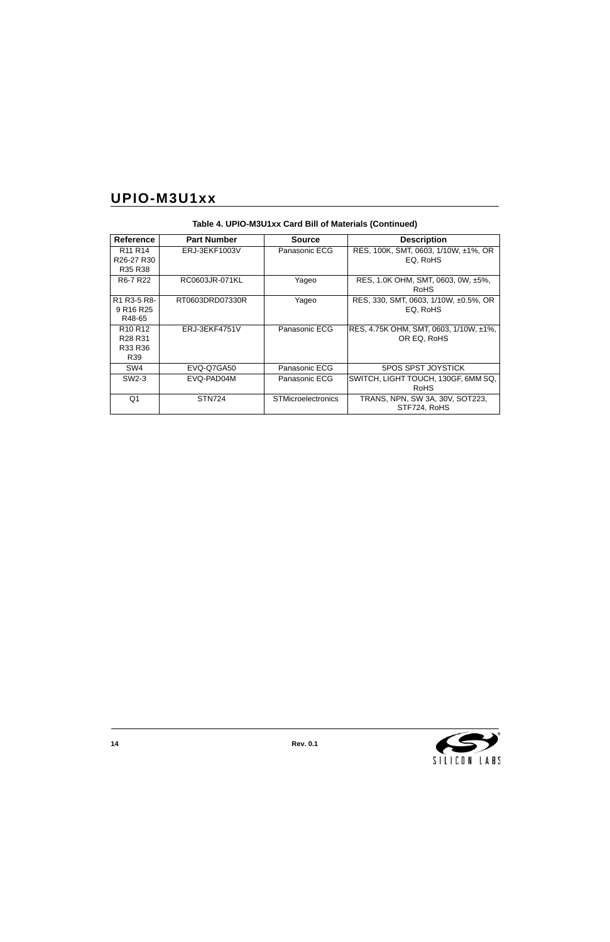| <b>Reference</b>                                  | <b>Part Number</b> | <b>Source</b>             | <b>Description</b>                     |
|---------------------------------------------------|--------------------|---------------------------|----------------------------------------|
| R <sub>11</sub> R <sub>14</sub>                   | ERJ-3EKF1003V      | Panasonic ECG             | RES, 100K, SMT, 0603, 1/10W, ±1%, OR   |
| R <sub>26</sub> -27 R <sub>30</sub>               |                    |                           | EQ, RoHS                               |
| R <sub>35</sub> R <sub>38</sub>                   |                    |                           |                                        |
| R <sub>6</sub> -7 R <sub>22</sub>                 | RC0603JR-071KL     | Yageo                     | RES, 1.0K OHM, SMT, 0603, 0W, ±5%,     |
|                                                   |                    |                           | <b>RoHS</b>                            |
| R <sub>1</sub> R <sub>3</sub> -5 R <sub>8</sub> - | RT0603DRD07330R    | Yageo                     | RES, 330, SMT, 0603, 1/10W, ±0.5%, OR  |
| 9 R <sub>16</sub> R <sub>25</sub>                 |                    |                           | EQ, RoHS                               |
| R48-65                                            |                    |                           |                                        |
| R <sub>10</sub> R <sub>12</sub>                   | ERJ-3EKF4751V      | Panasonic ECG             | RES, 4.75K OHM, SMT, 0603, 1/10W, ±1%, |
| R <sub>28</sub> R <sub>31</sub>                   |                    |                           | OR EQ, RoHS                            |
| R33 R36                                           |                    |                           |                                        |
| R <sub>39</sub>                                   |                    |                           |                                        |
| SW4                                               | EVQ-Q7GA50         | Panasonic ECG             | <b>5POS SPST JOYSTICK</b>              |
| SW <sub>2</sub> -3                                | EVQ-PAD04M         | Panasonic ECG             | SWITCH, LIGHT TOUCH, 130GF, 6MM SQ,    |
|                                                   |                    |                           | <b>RoHS</b>                            |
| Q1                                                | <b>STN724</b>      | <b>STMicroelectronics</b> | TRANS, NPN, SW 3A, 30V, SOT223,        |
|                                                   |                    |                           | STF724, RoHS                           |

**Table 4. UPIO-M3U1xx Card Bill of Materials (Continued)**

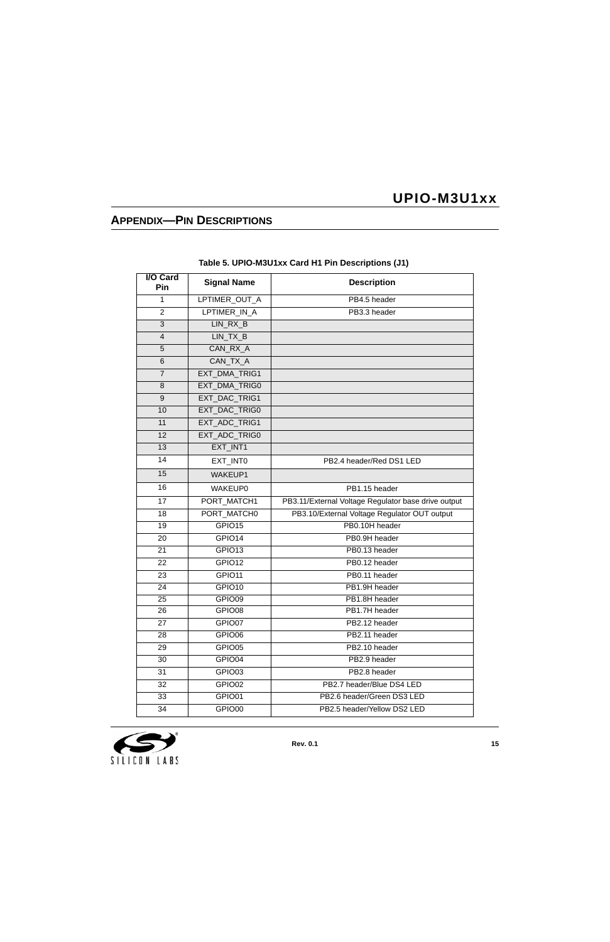## **APPENDIX—PIN DESCRIPTIONS**

<span id="page-14-0"></span>

| I/O Card<br>Pin | <b>Signal Name</b> | <b>Description</b>                                  |
|-----------------|--------------------|-----------------------------------------------------|
| 1               | LPTIMER_OUT_A      | PB4.5 header                                        |
| $\overline{2}$  | LPTIMER IN A       | PB3.3 header                                        |
| 3               | LIN_RX_B           |                                                     |
| 4               | LIN_TX_B           |                                                     |
| 5               | CAN RX A           |                                                     |
| $6\phantom{1}$  | CAN_TX_A           |                                                     |
| $\overline{7}$  | EXT_DMA_TRIG1      |                                                     |
| 8               | EXT_DMA_TRIG0      |                                                     |
| 9               | EXT_DAC_TRIG1      |                                                     |
| 10              | EXT_DAC_TRIG0      |                                                     |
| 11              | EXT_ADC_TRIG1      |                                                     |
| 12              | EXT_ADC_TRIG0      |                                                     |
| 13              | EXT_INT1           |                                                     |
| 14              | EXT_INT0           | PB2.4 header/Red DS1 LED                            |
| 15              | <b>WAKEUP1</b>     |                                                     |
| 16              | <b>WAKEUP0</b>     | PB1.15 header                                       |
| 17              | PORT_MATCH1        | PB3.11/External Voltage Regulator base drive output |
| 18              | PORT_MATCH0        | PB3.10/External Voltage Regulator OUT output        |
| 19              | GPIO15             | PB0.10H header                                      |
| 20              | GPIO14             | PB0.9H header                                       |
| 21              | GPIO13             | PB0.13 header                                       |
| 22              | GPIO12             | PB0.12 header                                       |
| 23              | GPIO11             | PB0.11 header                                       |
| 24              | GPIO10             | PB1.9H header                                       |
| $\overline{25}$ | GPIO09             | PB1.8H header                                       |
| 26              | GPIO08             | PB1.7H header                                       |
| 27              | GPIO07             | PB2.12 header                                       |
| 28              | GPIO06             | PB2.11 header                                       |
| 29              | GPIO05             | PB2.10 header                                       |
| 30              | GPIO04             | PB2.9 header                                        |
| 31              | GPIO03             | PB2.8 header                                        |
| 32              | GPIO02             | PB2.7 header/Blue DS4 LED                           |
| 33              | GPIO01             | PB2.6 header/Green DS3 LED                          |
| 34              | GPIO00             | PB2.5 header/Yellow DS2 LED                         |

#### **Table 5. UPIO-M3U1xx Card H1 Pin Descriptions (J1)**

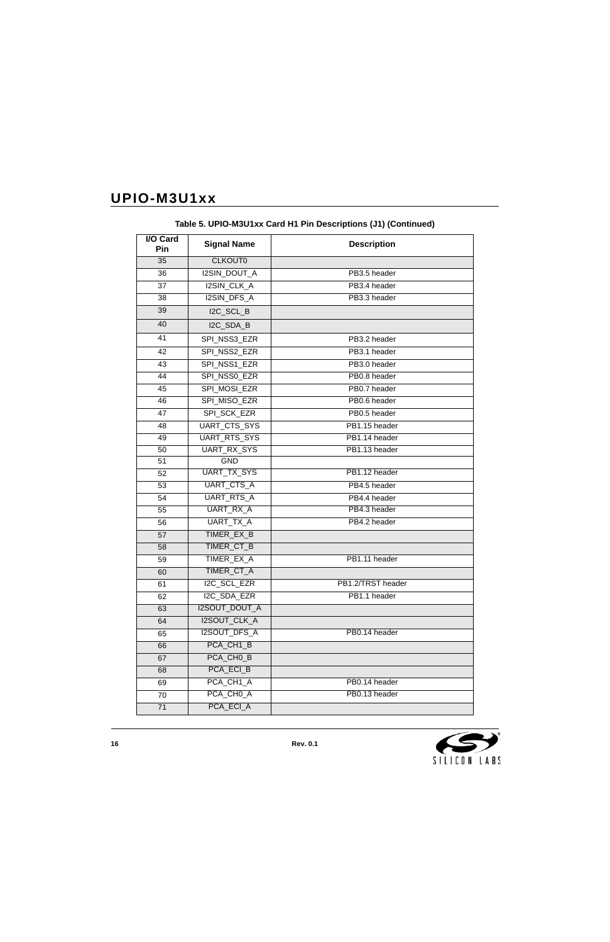| I/O Card<br>Pin | <b>Signal Name</b>   | <b>Description</b> |
|-----------------|----------------------|--------------------|
| 35              | <b>CLKOUT0</b>       |                    |
| 36              | I2SIN_DOUT_A         | PB3.5 header       |
| 37              | I2SIN_CLK_A          | PB3.4 header       |
| 38              | I2SIN_DFS_A          | PB3.3 header       |
| 39              | I2C_SCL_B            |                    |
| 40              | I2C_SDA_B            |                    |
| 41              | SPI NSS3 EZR         | PB3.2 header       |
| 42              | SPI_NSS2_EZR         | PB3.1 header       |
| 43              | SPI_NSS1_EZR         | PB3.0 header       |
| 44              | SPI_NSS0_EZR         | PB0.8 header       |
| 45              | SPI_MOSI_EZR         | PB0.7 header       |
| 46              | SPI_MISO_EZR         | PB0.6 header       |
| 47              | SPI_SCK_EZR          | PB0.5 header       |
| 48              | <b>UART CTS SYS</b>  | PB1.15 header      |
| 49              | UART_RTS_SYS         | PB1.14 header      |
| 50              | <b>UART RX SYS</b>   | PB1.13 header      |
| 51              | <b>GND</b>           |                    |
| 52              | UART_TX_SYS          | PB1.12 header      |
| 53              | UART_CTS_A           | PB4.5 header       |
| 54              | <b>UART_RTS_A</b>    | PB4.4 header       |
| 55              | UART_RX_A            | PB4.3 header       |
| 56              | <b>UART TX A</b>     | PB4.2 header       |
| 57              | TIMER_EX_B           |                    |
| 58              | TIMER_CT_B           |                    |
| 59              | TIMER_EX_A           | PB1.11 header      |
| 60              | TIMER_CT_A           |                    |
| 61              | <b>I2C SCL EZR</b>   | PB1.2/TRST header  |
| 62              | I2C SDA EZR          | PB1.1 header       |
| 63              | <b>I2SOUT_DOUT_A</b> |                    |
| 64              | I2SOUT_CLK_A         |                    |
| 65              | <b>I2SOUT DFS A</b>  | PB0.14 header      |
| 66              | PCA_CH1_B            |                    |
| 67              | PCA_CHO_B            |                    |
| 68              | PCA ECI B            |                    |
| 69              | PCA_CH1_A            | PB0.14 header      |
| 70              | PCA_CH0_A            | PB0.13 header      |
| $\overline{71}$ | PCA_ECI_A            |                    |

**Table 5. UPIO-M3U1xx Card H1 Pin Descriptions (J1) (Continued)**

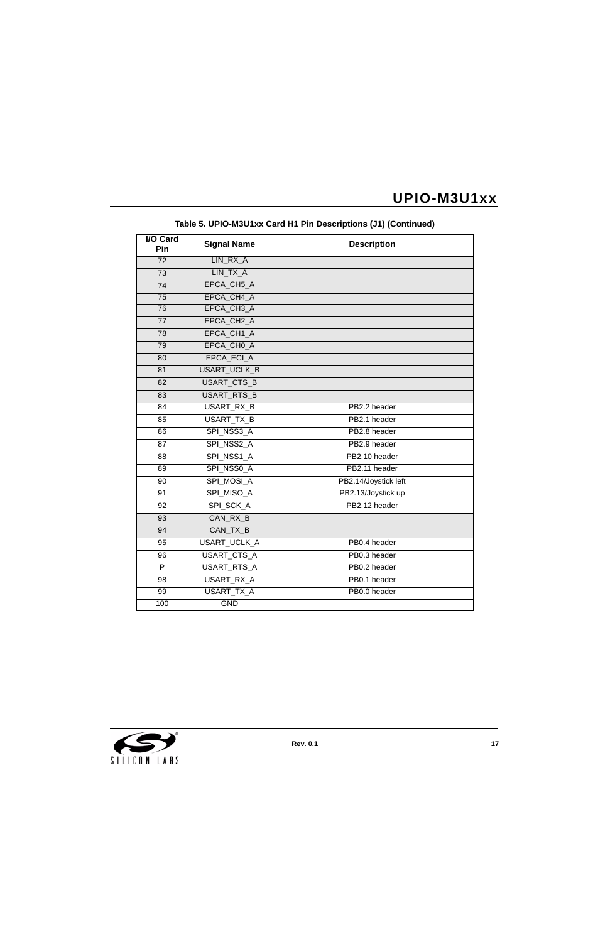| <b>I/O Card</b><br>Pin | <b>Signal Name</b>     | <b>Description</b>   |
|------------------------|------------------------|----------------------|
| $\overline{72}$        | LIN RX A               |                      |
| $\overline{73}$        | LIN TX A               |                      |
| 74                     | EPCA_CH5_A             |                      |
| $\overline{75}$        | EPCA CH4 A             |                      |
| 76                     | EPCA_CH3_A             |                      |
| 77                     | EPCA CH <sub>2</sub> A |                      |
| 78                     | EPCA_CH1_A             |                      |
| 79                     | EPCA_CHO_A             |                      |
| 80                     | EPCA ECI A             |                      |
| 81                     | USART_UCLK_B           |                      |
| 82                     | USART_CTS_B            |                      |
| 83                     | USART_RTS_B            |                      |
| $\overline{84}$        | USART_RX_B             | PB2.2 header         |
| 85                     | USART_TX_B             | PB2.1 header         |
| 86                     | SPI NSS3 A             | PB2.8 header         |
| $\overline{87}$        | SPI_NSS2_A             | PB2.9 header         |
| 88                     | SPI_NSS1_A             | PB2.10 header        |
| 89                     | SPI_NSS0_A             | PB2.11 header        |
| 90                     | SPI_MOSI_A             | PB2.14/Joystick left |
| 91                     | SPI_MISO_A             | PB2.13/Joystick up   |
| 92                     | SPI SCK A              | PB2.12 header        |
| 93                     | CAN_RX_B               |                      |
| 94                     | CAN_TX_B               |                      |
| 95                     | USART_UCLK_A           | PB0.4 header         |
| $\overline{96}$        | USART_CTS_A            | PB0.3 header         |
| P                      | USART_RTS_A            | PB0.2 header         |
| 98                     | USART_RX_A             | PB0.1 header         |
| 99                     | <b>USART TX A</b>      | PB0.0 header         |
| 100                    | <b>GND</b>             |                      |

**Table 5. UPIO-M3U1xx Card H1 Pin Descriptions (J1) (Continued)**

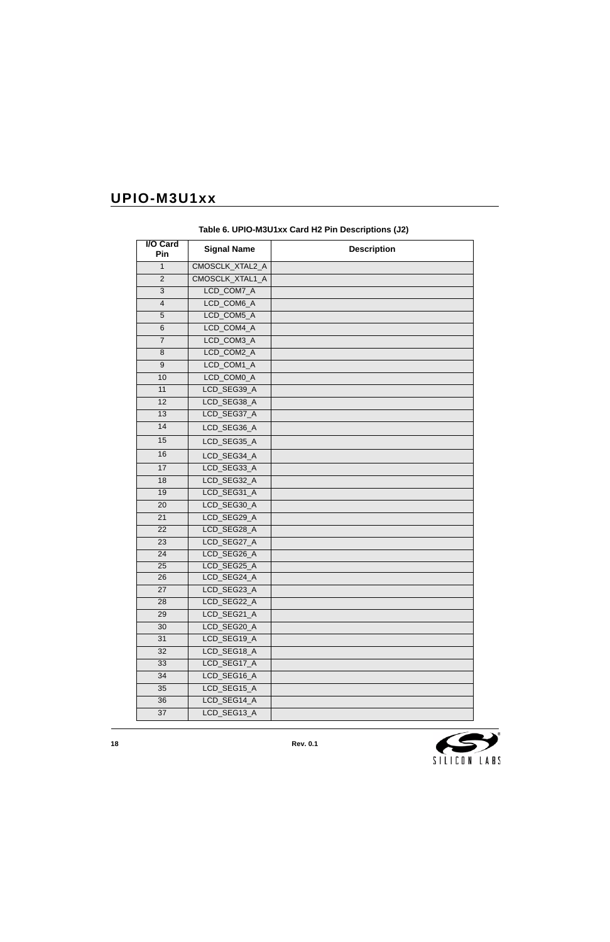<span id="page-17-0"></span>

| <b>I/O Card</b><br>Pin | <b>Signal Name</b>     | <b>Description</b> |
|------------------------|------------------------|--------------------|
| $\mathbf{1}$           | <b>CMOSCLK XTAL2 A</b> |                    |
| $\overline{2}$         | CMOSCLK_XTAL1_A        |                    |
| $\overline{3}$         | LCD_COM7_A             |                    |
| $\overline{4}$         | LCD_COM6_A             |                    |
| 5                      | LCD_COM5_A             |                    |
| 6                      | LCD_COM4_A             |                    |
| $\overline{7}$         | LCD_COM3_A             |                    |
| 8                      | LCD_COM2_A             |                    |
| 9                      | LCD_COM1_A             |                    |
| 10                     | LCD_COM0_A             |                    |
| 11                     | LCD_SEG39_A            |                    |
| $\overline{12}$        | LCD SEG38 A            |                    |
| 13                     | LCD_SEG37_A            |                    |
| 14                     | LCD_SEG36_A            |                    |
| 15                     | LCD_SEG35_A            |                    |
| 16                     | LCD_SEG34_A            |                    |
| 17                     | LCD_SEG33_A            |                    |
| 18                     | LCD_SEG32_A            |                    |
| 19                     | LCD_SEG31_A            |                    |
| 20                     | LCD_SEG30_A            |                    |
| 21                     | LCD_SEG29_A            |                    |
| 22                     | LCD_SEG28_A            |                    |
| 23                     | LCD_SEG27_A            |                    |
| 24                     | LCD_SEG26_A            |                    |
| $\overline{25}$        | LCD_SEG25_A            |                    |
| 26                     | LCD SEG24 A            |                    |
| 27                     | LCD_SEG23_A            |                    |
| 28                     | LCD_SEG22_A            |                    |
| 29                     | LCD_SEG21_A            |                    |
| 30                     | LCD_SEG20_A            |                    |
| 31                     | LCD_SEG19_A            |                    |
| 32                     | LCD SEG18 A            |                    |
| 33                     | LCD_SEG17_A            |                    |
| 34                     | LCD_SEG16_A            |                    |
| 35                     | LCD_SEG15_A            |                    |
| 36                     | LCD_SEG14_A            |                    |
| 37                     | LCD_SEG13_A            |                    |

**Table 6. UPIO-M3U1xx Card H2 Pin Descriptions (J2)**

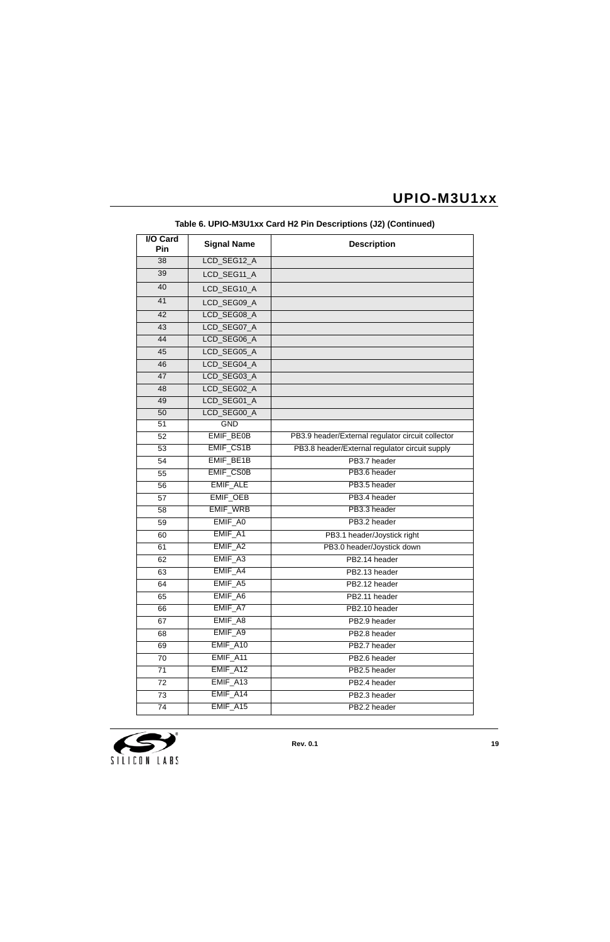| <b>I/O Card</b><br>Pin | <b>Signal Name</b> | <b>Description</b>                                |
|------------------------|--------------------|---------------------------------------------------|
| 38                     | LCD_SEG12_A        |                                                   |
| 39                     | LCD_SEG11_A        |                                                   |
| 40                     | LCD_SEG10_A        |                                                   |
| 41                     | LCD_SEG09_A        |                                                   |
| 42                     | LCD SEG08 A        |                                                   |
| 43                     | LCD_SEG07_A        |                                                   |
| 44                     | LCD_SEG06_A        |                                                   |
| 45                     | LCD_SEG05_A        |                                                   |
| 46                     | LCD_SEG04_A        |                                                   |
| 47                     | LCD_SEG03_A        |                                                   |
| 48                     | LCD_SEG02_A        |                                                   |
| 49                     | LCD_SEG01_A        |                                                   |
| 50                     | LCD_SEG00_A        |                                                   |
| 51                     | <b>GND</b>         |                                                   |
| 52                     | EMIF_BE0B          | PB3.9 header/External regulator circuit collector |
| 53                     | EMIF_CS1B          | PB3.8 header/External regulator circuit supply    |
| 54                     | EMIF_BE1B          | PB3.7 header                                      |
| 55                     | <b>EMIF_CS0B</b>   | PB3.6 header                                      |
| 56                     | <b>EMIF ALE</b>    | PB3.5 header                                      |
| 57                     | <b>EMIF_OEB</b>    | PB3.4 header                                      |
| 58                     | <b>EMIF_WRB</b>    | PB3.3 header                                      |
| 59                     | EMIF A0            | PB3.2 header                                      |
| 60                     | EMIF_A1            | PB3.1 header/Joystick right                       |
| 61                     | EMIF_A2            | PB3.0 header/Joystick down                        |
| 62                     | EMIF_A3            | PB2.14 header                                     |
| 63                     | EMIF A4            | PB2.13 header                                     |
| 64                     | EMIF_A5            | PB2.12 header                                     |
| 65                     | EMIF_A6            | PB2.11 header                                     |
| 66                     | EMIF A7            | PB2.10 header                                     |
| 67                     | EMIF_A8            | PB2.9 header                                      |
| 68                     | EMIF_A9            | PB2.8 header                                      |
| 69                     | EMIF_A10           | PB2.7 header                                      |
| 70                     | EMIF_A11           | PB2.6 header                                      |
| 71                     | EMIF_A12           | PB2.5 header                                      |
| 72                     | EMIF_A13           | PB2.4 header                                      |
| 73                     | EMIF_A14           | PB2.3 header                                      |
| 74                     | EMIF_A15           | PB2.2 header                                      |

### **Table 6. UPIO-M3U1xx Card H2 Pin Descriptions (J2) (Continued)**

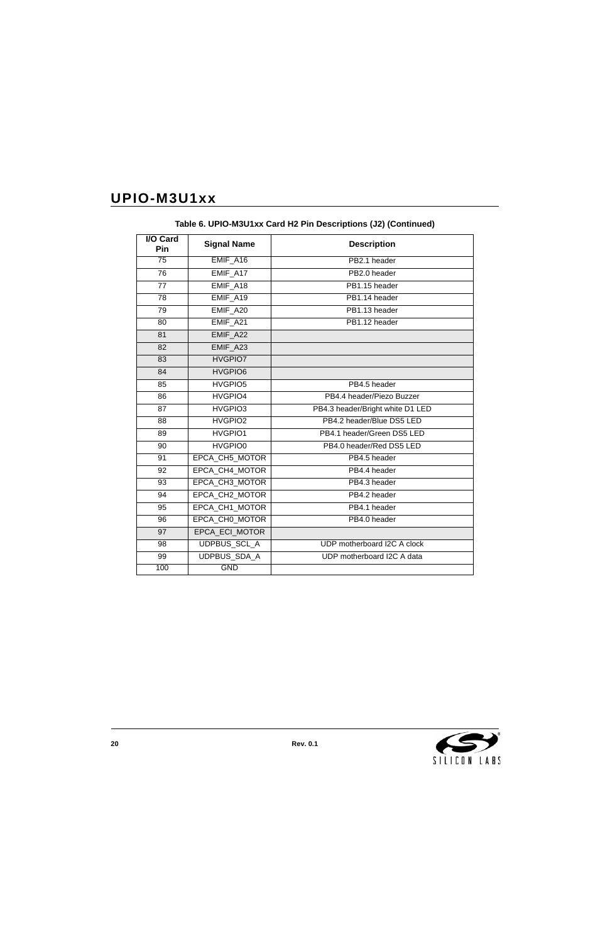| <b>I/O Card</b><br>Pin | <b>Signal Name</b>    | <b>Description</b>               |
|------------------------|-----------------------|----------------------------------|
| $\overline{75}$        | EMIF_A16              | PB2.1 header                     |
| $\overline{76}$        | EMIF_A17              | PB2.0 header                     |
| 77                     | EMIF A18              | PB1.15 header                    |
| 78                     | EMIF A19              | PB1.14 header                    |
| 79                     | EMIF_A20              | PB1.13 header                    |
| 80                     | EMIF_A21              | PB1.12 header                    |
| 81                     | EMIF A22              |                                  |
| 82                     | EMIF A23              |                                  |
| 83                     | HVGPIO7               |                                  |
| 84                     | HVGPIO6               |                                  |
| 85                     | HVGPIO5               | PB4.5 header                     |
| 86                     | HVGPIO4               | PB4.4 header/Piezo Buzzer        |
| 87                     | HVGPIO3               | PB4.3 header/Bright white D1 LED |
| 88                     | HVGPIO2               | PB4.2 header/Blue DS5 LED        |
| 89                     | HVGPIO1               | PB4.1 header/Green DS5 LED       |
| 90                     | HVGPIO0               | PB4.0 header/Red DS5 LED         |
| 91                     | EPCA_CH5_MOTOR        | PB4.5 header                     |
| 92                     | EPCA CH4 MOTOR        | PB4.4 header                     |
| 93                     | EPCA CH3 MOTOR        | PB4.3 header                     |
| 94                     | <b>EPCA CH2 MOTOR</b> | PB4.2 header                     |
| 95                     | EPCA_CH1_MOTOR        | PB4.1 header                     |
| 96                     | EPCA_CH0_MOTOR        | PB4.0 header                     |
| 97                     | EPCA_ECI_MOTOR        |                                  |
| 98                     | UDPBUS_SCL_A          | UDP motherboard I2C A clock      |
| 99                     | UDPBUS_SDA_A          | UDP motherboard I2C A data       |
| 100                    | <b>GND</b>            |                                  |

**Table 6. UPIO-M3U1xx Card H2 Pin Descriptions (J2) (Continued)**

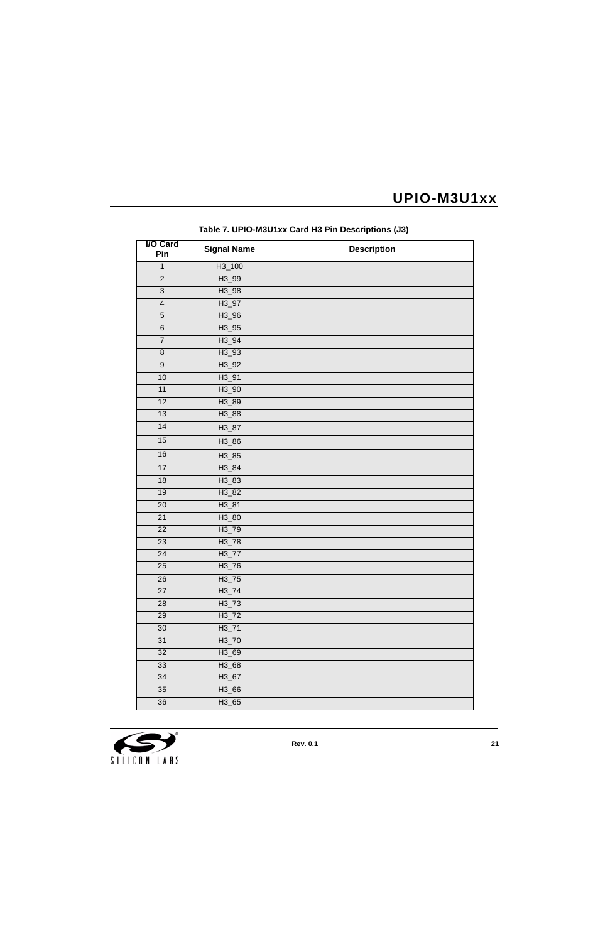<span id="page-20-0"></span>

| <b>I/O Card</b><br>Pin  | <b>Signal Name</b> | <b>Description</b> |
|-------------------------|--------------------|--------------------|
| $\mathbf{1}$            | $H3_100$           |                    |
| $\overline{2}$          | H3_99              |                    |
| $\overline{3}$          | $H3_98$            |                    |
| $\overline{\mathbf{4}}$ | $H3_97$            |                    |
| $\overline{5}$          | $H3_96$            |                    |
| $\overline{6}$          | $H3_95$            |                    |
| $\boldsymbol{7}$        | $H3_94$            |                    |
| $\overline{8}$          | $H3_93$            |                    |
| $\overline{9}$          | $H3_92$            |                    |
| 10                      | $H3_91$            |                    |
| 11                      | $H3_90$            |                    |
| 12                      | H3_89              |                    |
| 13                      | H3_88              |                    |
| 14                      | H3_87              |                    |
| 15                      | H3_86              |                    |
| 16                      | H3_85              |                    |
| 17                      | $H3_84$            |                    |
| 18                      | H3_83              |                    |
| $19$                    | H3_82              |                    |
| $\overline{20}$         | $H3_81$            |                    |
| $\overline{21}$         | H3_80              |                    |
| 22                      | H3_79              |                    |
| $\overline{23}$         | $H3_78$            |                    |
| 24                      | $H3_77$            |                    |
| 25                      | $H3_76$            |                    |
| $\overline{26}$         | $H3_75$            |                    |
| 27                      | $H3_74$            |                    |
| 28                      | $H3_73$            |                    |
| 29                      | $H3_72$            |                    |
| 30                      | $H3_71$            |                    |
| 31                      | $H3_70$            |                    |
| 32                      | H3_69              |                    |
| 33                      | H3_68              |                    |
| 34                      | $H3_67$            |                    |
| 35                      | $H3_66$            |                    |
| 36                      | $H3_65$            |                    |

**Table 7. UPIO-M3U1xx Card H3 Pin Descriptions (J3)**

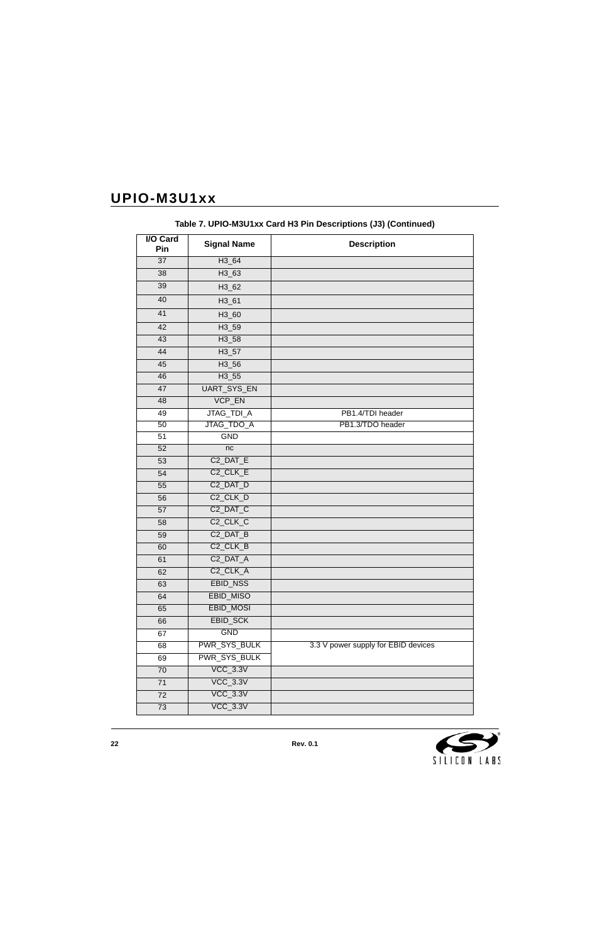| I/O Card<br>Pin | <b>Signal Name</b>    | <b>Description</b>                  |
|-----------------|-----------------------|-------------------------------------|
| 37              | H3_64                 |                                     |
| 38              | H3_63                 |                                     |
| 39              | H3 62                 |                                     |
| 40              | H3_61                 |                                     |
| 41              | H3_60                 |                                     |
| 42              | H3_59                 |                                     |
| 43              | H3_58                 |                                     |
| 44              | $H3_57$               |                                     |
| 45              | H3_56                 |                                     |
| 46              | $H3_55$               |                                     |
| 47              | UART_SYS_EN           |                                     |
| 48              | VCP_EN                |                                     |
| 49              | JTAG_TDI_A            | PB1.4/TDI header                    |
| 50              | JTAG_TDO_A            | PB1.3/TDO header                    |
| 51              | <b>GND</b>            |                                     |
| 52              | nc                    |                                     |
| 53              | C <sub>2_</sub> DAT_E |                                     |
| 54              | C <sub>2_CLK_E</sub>  |                                     |
| 55              | C <sub>2_</sub> DAT_D |                                     |
| 56              | C <sub>2_</sub> CLK_D |                                     |
| 57              | C <sub>2</sub> _DAT_C |                                     |
| 58              | C <sub>2_</sub> CLK_C |                                     |
| 59              | C <sub>2</sub> _DAT_B |                                     |
| 60              | C <sub>2_CLK_B</sub>  |                                     |
| 61              | C <sub>2_</sub> DAT_A |                                     |
| 62              | C <sub>2_</sub> CLK_A |                                     |
| 63              | EBID_NSS              |                                     |
| 64              | <b>EBID_MISO</b>      |                                     |
| 65              | <b>EBID_MOSI</b>      |                                     |
| 66              | EBID_SCK              |                                     |
| 67              | <b>GND</b>            |                                     |
| 68              | PWR_SYS_BULK          | 3.3 V power supply for EBID devices |
| 69              | PWR_SYS_BULK          |                                     |
| 70              | <b>VCC_3.3V</b>       |                                     |
| 71              | $VCC_3.3V$            |                                     |
| 72              | $VCC_3.3V$            |                                     |
| $\overline{73}$ | $VCC_3.3V$            |                                     |

**Table 7. UPIO-M3U1xx Card H3 Pin Descriptions (J3) (Continued)**

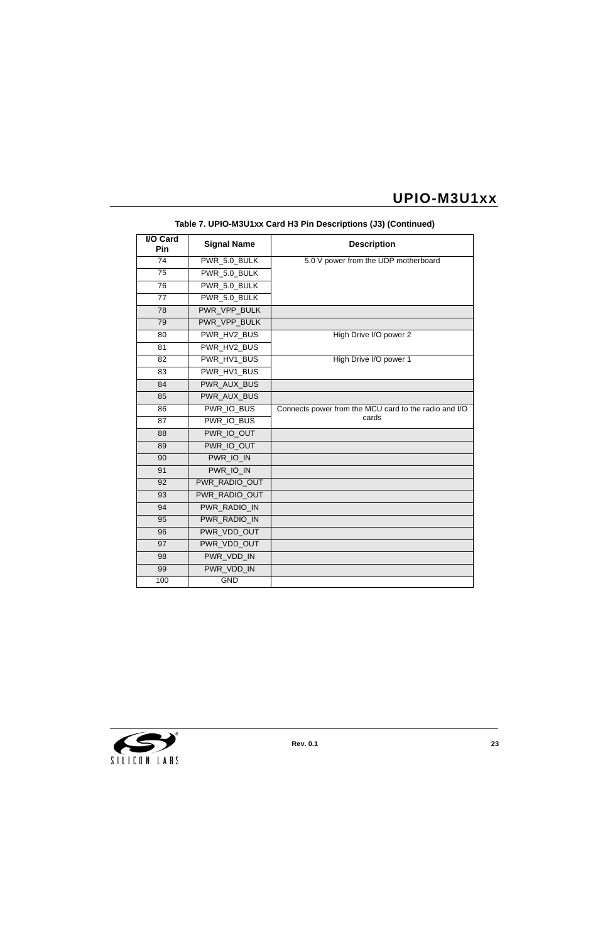| <b>I/O Card</b><br>Pin | <b>Signal Name</b> | <b>Description</b>                                    |
|------------------------|--------------------|-------------------------------------------------------|
| 74                     | PWR_5.0_BULK       | 5.0 V power from the UDP motherboard                  |
| $\overline{75}$        | PWR 5.0 BULK       |                                                       |
| 76                     | PWR_5.0_BULK       |                                                       |
| 77                     | PWR 5.0 BULK       |                                                       |
| 78                     | PWR_VPP_BULK       |                                                       |
| 79                     | PWR_VPP_BULK       |                                                       |
| 80                     | PWR HV2 BUS        | High Drive I/O power 2                                |
| 81                     | PWR HV2 BUS        |                                                       |
| 82                     | PWR_HV1_BUS        | High Drive I/O power 1                                |
| 83                     | PWR HV1 BUS        |                                                       |
| 84                     | <b>PWR AUX BUS</b> |                                                       |
| 85                     | PWR AUX BUS        |                                                       |
| 86                     | PWR_IO_BUS         | Connects power from the MCU card to the radio and I/O |
| 87                     | <b>PWR IO BUS</b>  | cards                                                 |
| 88                     | PWR IO OUT         |                                                       |
| 89                     | PWR IO OUT         |                                                       |
| 90                     | PWR_IO_IN          |                                                       |
| 91                     | PWR IO IN          |                                                       |
| 92                     | PWR RADIO OUT      |                                                       |
| 93                     | PWR RADIO OUT      |                                                       |
| 94                     | PWR_RADIO_IN       |                                                       |
| 95                     | PWR_RADIO_IN       |                                                       |
| 96                     | PWR_VDD_OUT        |                                                       |
| 97                     | PWR VDD OUT        |                                                       |
| 98                     | PWR VDD IN         |                                                       |
| 99                     | PWR_VDD_IN         |                                                       |
| 100                    | <b>GND</b>         |                                                       |

### **Table 7. UPIO-M3U1xx Card H3 Pin Descriptions (J3) (Continued)**

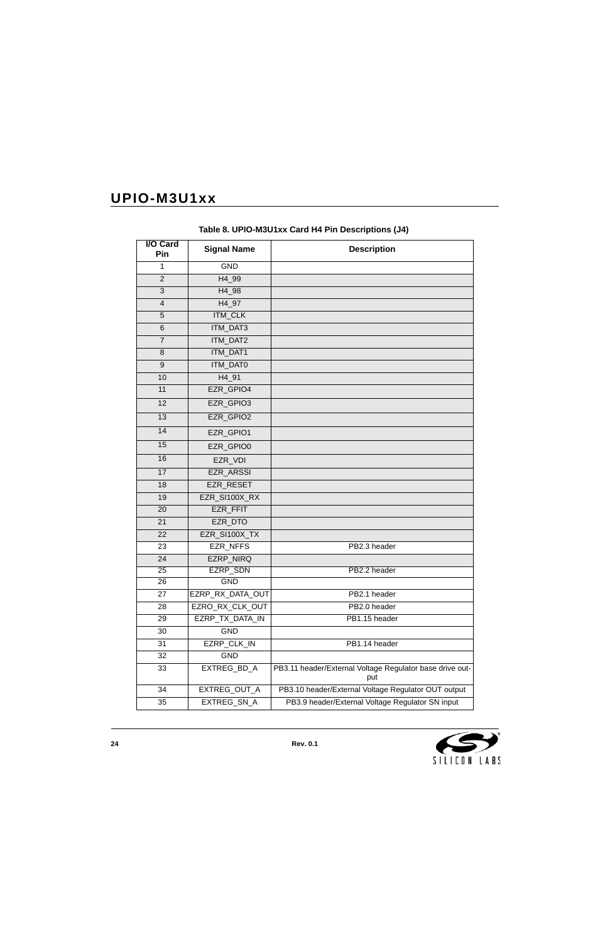<span id="page-23-0"></span>

| I/O Card<br>Pin | <b>Signal Name</b> | <b>Description</b>                                              |
|-----------------|--------------------|-----------------------------------------------------------------|
| $\mathbf{1}$    | <b>GND</b>         |                                                                 |
| $\overline{2}$  | H4_99              |                                                                 |
| 3               | H4_98              |                                                                 |
| $\overline{4}$  | H4_97              |                                                                 |
| 5               | <b>ITM_CLK</b>     |                                                                 |
| 6               | ITM_DAT3           |                                                                 |
| $\overline{7}$  | ITM_DAT2           |                                                                 |
| 8               | ITM_DAT1           |                                                                 |
| 9               | ITM_DAT0           |                                                                 |
| 10              | H4_91              |                                                                 |
| 11              | EZR_GPIO4          |                                                                 |
| 12              | EZR_GPIO3          |                                                                 |
| 13              | EZR_GPIO2          |                                                                 |
| 14              | EZR_GPIO1          |                                                                 |
| 15              | EZR GPIO0          |                                                                 |
| 16              | EZR_VDI            |                                                                 |
| 17              | EZR_ARSSI          |                                                                 |
| 18              | EZR_RESET          |                                                                 |
| 19              | EZR_SI100X_RX      |                                                                 |
| 20              | EZR_FFIT           |                                                                 |
| 21              | EZR_DTO            |                                                                 |
| 22              | EZR_SI100X_TX      |                                                                 |
| 23              | <b>EZR NFFS</b>    | PB2.3 header                                                    |
| 24              | EZRP_NIRQ          |                                                                 |
| $\overline{25}$ | <b>EZRP_SDN</b>    | PB2.2 header                                                    |
| 26              | GND                |                                                                 |
| 27              | EZRP_RX_DATA_OUT   | PB2.1 header                                                    |
| 28              | EZRO_RX_CLK_OUT    | PB2.0 header                                                    |
| 29              | EZRP_TX_DATA_IN    | PB1.15 header                                                   |
| 30              | <b>GND</b>         |                                                                 |
| 31              | EZRP_CLK_IN        | PB1.14 header                                                   |
| 32              | <b>GND</b>         |                                                                 |
| 33              | EXTREG_BD_A        | PB3.11 header/External Voltage Regulator base drive out-<br>put |
| 34              | EXTREG_OUT_A       | PB3.10 header/External Voltage Regulator OUT output             |
| 35              | EXTREG_SN_A        | PB3.9 header/External Voltage Regulator SN input                |

**Table 8. UPIO-M3U1xx Card H4 Pin Descriptions (J4)**

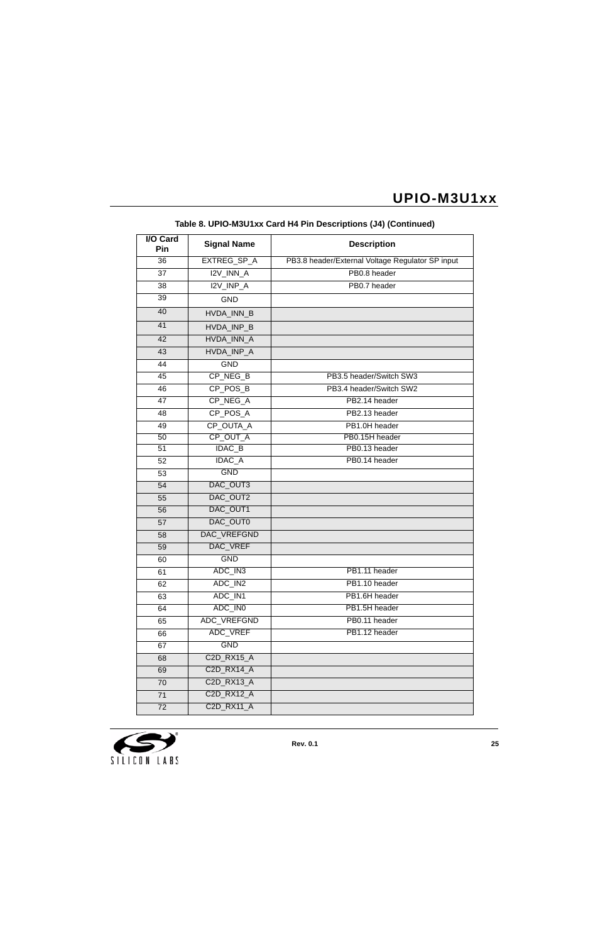| <b>I/O Card</b><br>Pin | <b>Signal Name</b> | <b>Description</b>                               |
|------------------------|--------------------|--------------------------------------------------|
| 36                     | EXTREG_SP_A        | PB3.8 header/External Voltage Regulator SP input |
| 37                     | I2V_INN_A          | PB0.8 header                                     |
| 38                     | I2V_INP_A          | PB0.7 header                                     |
| 39                     | <b>GND</b>         |                                                  |
| 40                     | HVDA INN B         |                                                  |
| 41                     | HVDA_INP_B         |                                                  |
| 42                     | HVDA_INN_A         |                                                  |
| 43                     | HVDA_INP_A         |                                                  |
| 44                     | <b>GND</b>         |                                                  |
| 45                     | CP_NEG_B           | PB3.5 header/Switch SW3                          |
| 46                     | CP_POS_B           | PB3.4 header/Switch SW2                          |
| 47                     | CP_NEG_A           | PB2.14 header                                    |
| 48                     | CP POS A           | PB2.13 header                                    |
| 49                     | CP_OUTA_A          | PB1.0H header                                    |
| 50                     | CP_OUT_A           | PB0.15H header                                   |
| 51                     | <b>IDAC_B</b>      | PB0.13 header                                    |
| 52                     | <b>IDAC_A</b>      | PB0.14 header                                    |
| 53                     | <b>GND</b>         |                                                  |
| 54                     | DAC_OUT3           |                                                  |
| 55                     | DAC_OUT2           |                                                  |
| 56                     | DAC_OUT1           |                                                  |
| 57                     | DAC_OUT0           |                                                  |
| 58                     | DAC_VREFGND        |                                                  |
| 59                     | <b>DAC VREF</b>    |                                                  |
| 60                     | <b>GND</b>         |                                                  |
| 61                     | ADC IN3            | PB1.11 header                                    |
| 62                     | ADC_IN2            | PB1.10 header                                    |
| 63                     | ADC_IN1            | PB1.6H header                                    |
| 64                     | ADC_IN0            | PB1.5H header                                    |
| 65                     | <b>ADC VREFGND</b> | PB0.11 header                                    |
| 66                     | ADC_VREF           | PB1.12 header                                    |
| 67                     | <b>GND</b>         |                                                  |
| 68                     | C2D_RX15_A         |                                                  |
| 69                     | <b>C2D RX14 A</b>  |                                                  |
| 70                     | C2D_RX13_A         |                                                  |
| 71                     | C2D_RX12_A         |                                                  |
| 72                     | C2D_RX11_A         |                                                  |

### **Table 8. UPIO-M3U1xx Card H4 Pin Descriptions (J4) (Continued)**

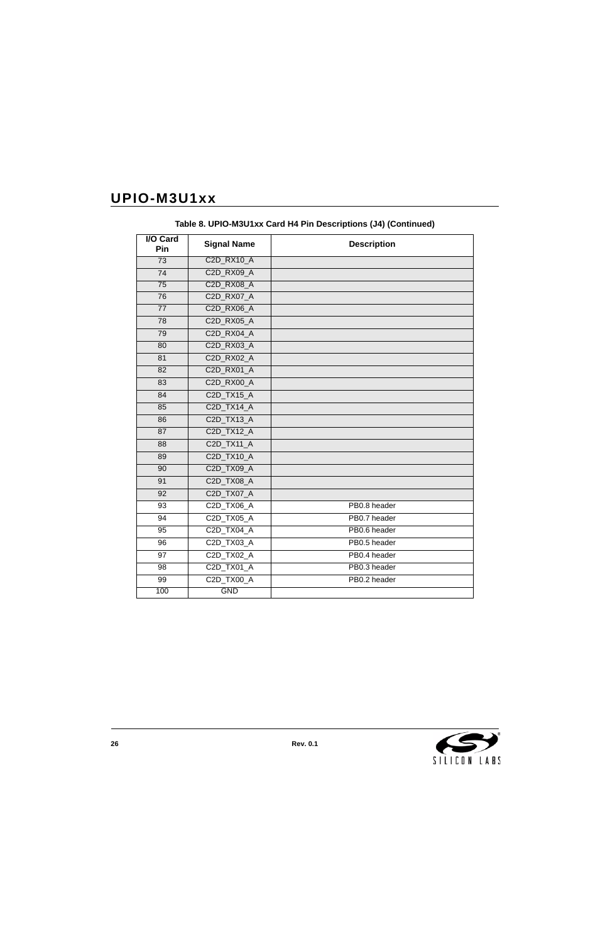| <b>I/O Card</b><br>Pin | <b>Signal Name</b> | <b>Description</b> |
|------------------------|--------------------|--------------------|
| $\overline{73}$        | <b>C2D RX10 A</b>  |                    |
| 74                     | C2D_RX09_A         |                    |
| 75                     | <b>C2D RX08 A</b>  |                    |
| 76                     | C2D_RX07_A         |                    |
| $\overline{77}$        | C2D_RX06_A         |                    |
| 78                     | C2D_RX05_A         |                    |
| 79                     | <b>C2D RX04 A</b>  |                    |
| 80                     | C2D_RX03_A         |                    |
| 81                     | <b>C2D RX02 A</b>  |                    |
| 82                     | C2D_RX01_A         |                    |
| 83                     | C2D_RX00_A         |                    |
| 84                     | C2D TX15 A         |                    |
| 85                     | C2D_TX14_A         |                    |
| 86                     | C2D_TX13_A         |                    |
| 87                     | C2D_TX12_A         |                    |
| 88                     | C2D_TX11_A         |                    |
| 89                     | C2D_TX10_A         |                    |
| 90                     | C2D_TX09_A         |                    |
| 91                     | C2D_TX08_A         |                    |
| 92                     | C2D_TX07_A         |                    |
| 93                     | C2D TX06 A         | PB0.8 header       |
| 94                     | C2D_TX05_A         | PB0.7 header       |
| 95                     | C2D_TX04_A         | PB0.6 header       |
| 96                     | C2D TX03 A         | PB0.5 header       |
| $\overline{97}$        | C2D_TX02_A         | PB0.4 header       |
| 98                     | C2D_TX01_A         | PB0.3 header       |
| 99                     | C2D_TX00_A         | PB0.2 header       |
| 100                    | <b>GND</b>         |                    |

**Table 8. UPIO-M3U1xx Card H4 Pin Descriptions (J4) (Continued)**

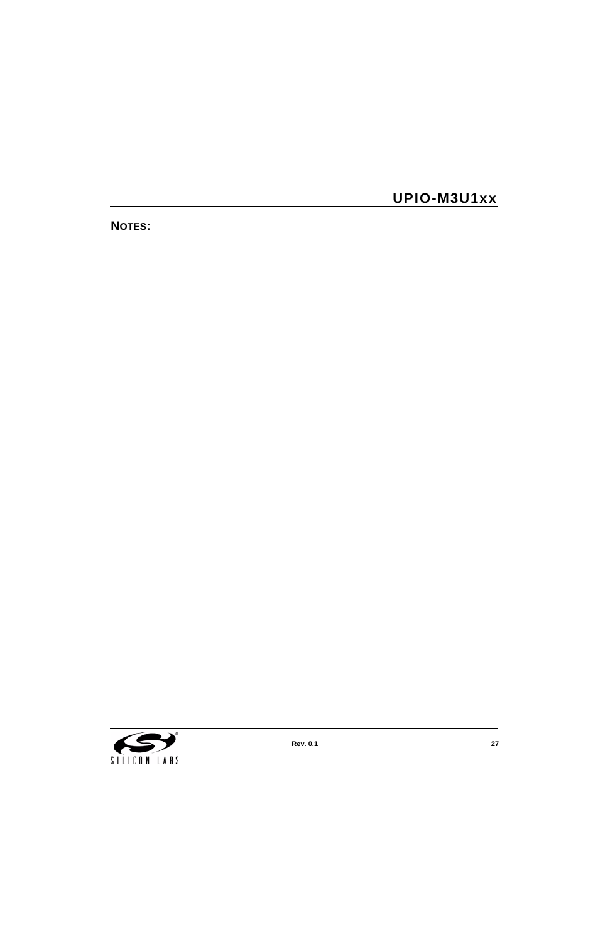**NOTES:**